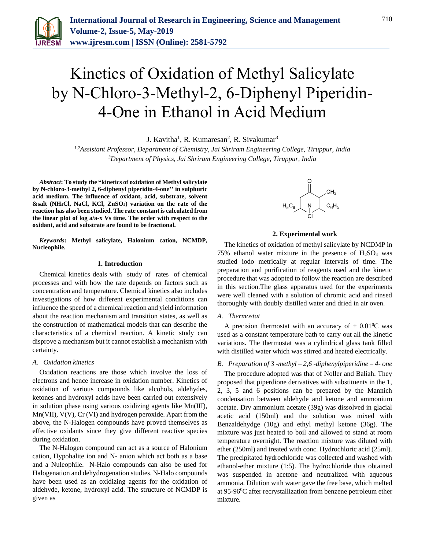

# Kinetics of Oxidation of Methyl Salicylate by N-Chloro-3-Methyl-2, 6-Diphenyl Piperidin-4-One in Ethanol in Acid Medium

J. Kavitha<sup>1</sup>, R. Kumaresan<sup>2</sup>, R. Sivakumar<sup>3</sup>

*1,2Assistant Professor, Department of Chemistry, Jai Shriram Engineering College, Tiruppur, India 3Department of Physics, Jai Shriram Engineering College, Tiruppur, India*

*Abstract***: To study the "kinetics of oxidation of Methyl salicylate by N-chloro-3-methyl 2, 6-diphenyl piperidin-4-one'' in sulphuric acid medium. The influence of oxidant, acid, substrate, solvent &salt (NH4Cl, NaCl, KCl, ZnSO4) variation on the rate of the reaction has also been studied. The rate constant is calculated from the linear plot of log a/a-x Vs time. The order with respect to the oxidant, acid and substrate are found to be fractional.**

*Keywords***: Methyl salicylate, Halonium cation, NCMDP, Nucleophile.**

#### **1. Introduction**

Chemical kinetics deals with study of rates of chemical processes and with how the rate depends on factors such as concentration and temperature. Chemical kinetics also includes investigations of how different experimental conditions can influence the speed of a chemical reaction and yield information about the reaction mechanism and transition states, as well as the construction of mathematical models that can describe the characteristics of a chemical reaction. A kinetic study can disprove a mechanism but it cannot establish a mechanism with certainty.

#### *A. Oxidation kinetics*

Oxidation reactions are those which involve the loss of electrons and hence increase in oxidation number. Kinetics of oxidation of various compounds like alcohols, aldehydes, ketones and hydroxyl acids have been carried out extensively in solution phase using various oxidizing agents like Mn(III), Mn(VII), V(V), Cr (VI) and hydrogen peroxide. Apart from the above, the N-Halogen compounds have proved themselves as effective oxidants since they give different reactive species during oxidation.

The N-Halogen compound can act as a source of Halonium cation, Hypohalite ion and N- anion which act both as a base and a Nuleophile. N-Halo compounds can also be used for Halogenation and dehydrogenation studies. N-Halo compounds have been used as an oxidizing agents for the oxidation of aldehyde, ketone, hydroxyl acid. The structure of NCMDP is given as



#### **2. Experimental work**

The kinetics of oxidation of methyl salicylate by NCDMP in 75% ethanol water mixture in the presence of  $H<sub>2</sub>SO<sub>4</sub>$  was studied iodo metrically at regular intervals of time. The preparation and purification of reagents used and the kinetic procedure that was adopted to follow the reaction are described in this section.The glass apparatus used for the experiments were well cleaned with a solution of chromic acid and rinsed thoroughly with doubly distilled water and dried in air oven.

#### *A. Thermostat*

A precision thermostat with an accuracy of  $\pm 0.01$ <sup>o</sup>C was used as a constant temperature bath to carry out all the kinetic variations. The thermostat was a cylindrical glass tank filled with distilled water which was stirred and heated electrically.

## *B. Preparation of 3 -methyl – 2,6 -diphenylpiperidine – 4- one*

The procedure adopted was that of Noller and Baliah. They proposed that piperdione derivatives with substituents in the 1, 2, 3, 5 and 6 positions can be prepared by the Mannich condensation between aldehyde and ketone and ammonium acetate. Dry ammonium acetate (39g) was dissolved in glacial acetic acid (150ml) and the solution was mixed with Benzaldehydge (10g) and ethyl methyl ketone (36g). The mixture was just heated to boil and allowed to stand at room temperature overnight. The reaction mixture was diluted with ether (250ml) and treated with conc. Hydrochloric acid (25ml). The precipitated hydrochloride was collected and washed with ethanol-ether mixture (1:5). The hydrochloride thus obtained was suspended in acetone and neutralized with aqueous ammonia. Dilution with water gave the free base, which melted at 95-96<sup>0</sup>C after recrystallization from benzene petroleum ether mixture.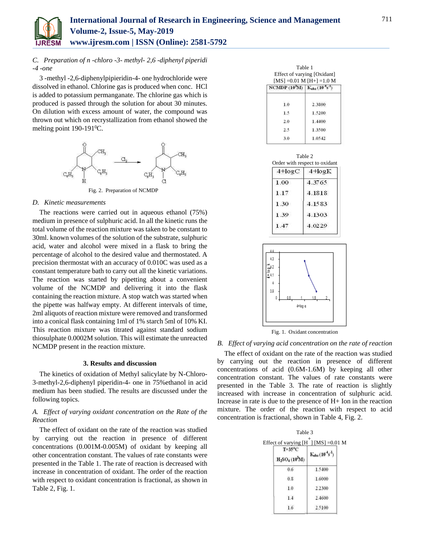# *C. Preparation of n -chloro -3- methyl- 2,6 -diphenyl piperidi -4 -one*

3 -methyl -2,6-diphenylpipieridin-4- one hydrochloride were dissolved in ethanol. Chlorine gas is produced when conc. HCl is added to potassium permanganate. The chlorine gas which is produced is passed through the solution for about 30 minutes. On dilution with excess amount of water, the compound was thrown out which on recrystallization from ethanol showed the melting point 190-191<sup>0</sup>C.



#### *D. Kinetic measurements*

The reactions were carried out in aqueous ethanol (75%) medium in presence of sulphuric acid. In all the kinetic runs the total volume of the reaction mixture was taken to be constant to 30ml. known volumes of the solution of the substrate, sulphuric acid, water and alcohol were mixed in a flask to bring the percentage of alcohol to the desired value and thermostated. A precision thermostat with an accuracy of 0.010C was used as a constant temperature bath to carry out all the kinetic variations. The reaction was started by pipetting about a convenient volume of the NCMDP and delivering it into the flask containing the reaction mixture. A stop watch was started when the pipette was halfway empty. At different intervals of time, 2ml aliquots of reaction mixture were removed and transformed into a conical flask containing 1ml of 1% starch 5ml of 10% KI. This reaction mixture was titrated against standard sodium thiosulphate 0.0002M solution. This will estimate the unreacted NCMDP present in the reaction mixture.

#### **3. Results and discussion**

The kinetics of oxidation of Methyl salicylate by N-Chloro-3-methyl-2,6-diphenyl piperidin-4- one in 75%ethanol in acid medium has been studied. The results are discussed under the following topics.

## *A. Effect of varying oxidant concentration on the Rate of the Reaction*

The effect of oxidant on the rate of the reaction was studied by carrying out the reaction in presence of different concentrations (0.001M-0.005M) of oxidant by keeping all other concentration constant. The values of rate constants were presented in the Table 1. The rate of reaction is decreased with increase in concentration of oxidant. The order of the reaction with respect to oxidant concentration is fractional, as shown in Table 2, Fig. 1.

| Table 1<br>Effect of varying [Oxidant]       |                            |
|----------------------------------------------|----------------------------|
|                                              | [MS] = 0.01 M [H+] = 1.0 M |
| NCMDP $(10^3M)$ K <sub>obs</sub> $(10^4s^1)$ |                            |
| 1.0                                          | 2.3800                     |
| 1.5                                          | 1.5200                     |
| 2.0                                          | 1.4400                     |
| 2.5                                          | 1.3500                     |
| 3.0                                          | 1.0542                     |

|            | Table 2                       |
|------------|-------------------------------|
|            | Order with respect to oxidant |
| $4 + logC$ | $4 + log K$                   |
| 1.00       | 4.3765                        |
| 1.17       | 4.1818                        |
| 1.30       | 4.1583                        |
| 1.39       | 4.1303                        |
|            |                               |



Fig. 1. Oxidant concentration

*B. Effect of varying acid concentration on the rate of reaction*

The effect of oxidant on the rate of the reaction was studied by carrying out the reaction in presence of different concentrations of acid (0.6M-1.6M) by keeping all other concentration constant. The values of rate constants were presented in the Table 3. The rate of reaction is slightly increased with increase in concentration of sulphuric acid. Increase in rate is due to the presence of H+ Ion in the reaction mixture. The order of the reaction with respect to acid concentration is fractional, shown in Table 4, Fig. 2.

| Table 3 |                                        |                           |  |
|---------|----------------------------------------|---------------------------|--|
|         | Effect of varying $[H^+]$ [MS] =0.01 M |                           |  |
|         | $T=35^{\circ}C$<br>$H_2SO_4(10^3M)$    | $K_{obs} (10^{-4}s^{-1})$ |  |
|         | 0.6                                    | 1.5400                    |  |
|         | 0.8                                    | 1.6000                    |  |
|         | 1.0                                    | 2.2300                    |  |
|         | 1.4                                    | 2.4600                    |  |
|         | 1.6                                    | 2.5100                    |  |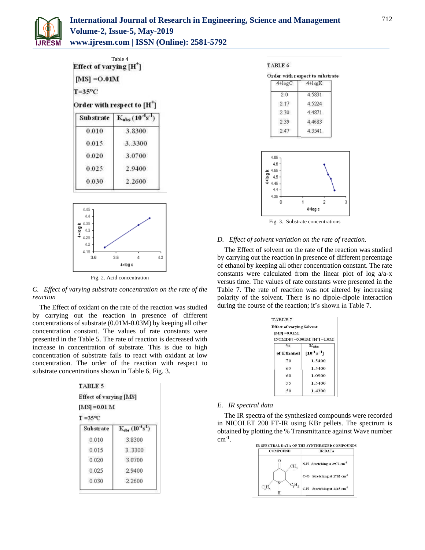

Table 4<br>**Effect of varying [H<sup>+</sup>]**  $[MS] = 0.01M$  $T=35^{\circ}C$ 

Order with respect to [H<sup>+</sup>]

| <b>Substrate</b> | $K_{obs} (10^{-8}s^{-1}$ |
|------------------|--------------------------|
| 0.010            | 3.8300                   |
| 0.015            | 3.3300                   |
| 0.020            | 3.0700                   |
| 0.025            | 2.9400                   |
| 0.030            | 2.2600                   |



Fig. 2. Acid concentration

*C. Effect of varying substrate concentration on the rate of the reaction*

The Effect of oxidant on the rate of the reaction was studied by carrying out the reaction in presence of different concentrations of substrate (0.01M-0.03M) by keeping all other concentration constant. The values of rate constants were presented in the Table 5. The rate of reaction is decreased with increase in concentration of substrate. This is due to high concentration of substrate fails to react with oxidant at low concentration. The order of the reaction with respect to substrate concentrations shown in Table 6, Fig. 3.

TABLE 5

**Effect of varying [MS]** 

[ $MS$ ] = 0.01  $M$ 

| TP. | _ |  | -9 E OV |  |
|-----|---|--|---------|--|
|     |   |  |         |  |

| Substrate | $K_{obs}$ (10 <sup>-4</sup> s <sup>1</sup> ) |
|-----------|----------------------------------------------|
| 0.010     | 38300                                        |
| 0.015     | 3.3300                                       |
| 0.020     | 3.0700                                       |
| 0.025     | 2.9400                                       |
| 0.030     | 2.2600                                       |

TABLE 6

Order with respect to substrate

| 4HogK  |  |
|--------|--|
| 4 5831 |  |
| 4.5224 |  |
| 4.4871 |  |
| 4.4683 |  |
| 4.3541 |  |
|        |  |



#### *D. Effect of solvent variation on the rate of reaction.*

The Effect of solvent on the rate of the reaction was studied by carrying out the reaction in presence of different percentage of ethanol by keeping all other concentration constant. The rate constants were calculated from the linear plot of log a/a-x versus time. The values of rate constants were presented in the Table 7. The rate of reaction was not altered by increasing polarity of the solvent. There is no dipole-dipole interaction during the course of the reaction; it's shown in Table 7.

| TABLE 7                          |                                           |
|----------------------------------|-------------------------------------------|
| <b>Effect of varying Solvent</b> |                                           |
| $[MS] = 0.01M$                   |                                           |
|                                  | [NCMDP] = 0.001M [H <sup>+</sup> ] = 1.0M |
| 0/6                              | Kobs                                      |
| of Ethanol                       | $[10^4 \text{s}^{-1}]$                    |
| 70                               | 1.5400                                    |
| 65                               | 1.5400                                    |
| 60                               | 1.0900                                    |
| 55                               | 1.5400                                    |
| 50                               | 1.4300                                    |

#### *E. IR spectral data*

The IR spectra of the synthesized compounds were recorded in NICOLET 200 FT-IR using KBr pellets. The spectrum is obtained by plotting the % Transmittance against Wave number  $cm^{-1}$ .